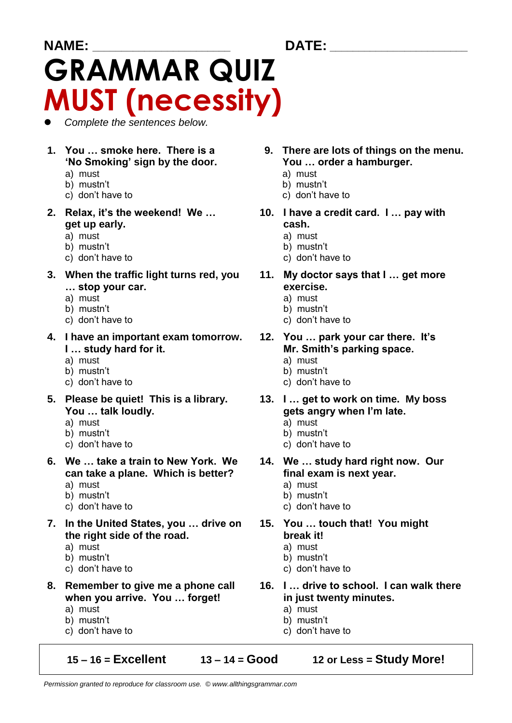# **NAME: \_\_\_\_\_\_\_\_\_\_\_\_\_\_\_\_\_\_\_\_\_\_\_\_ DATE: \_\_\_\_\_\_\_\_\_\_\_\_\_\_\_\_\_\_\_\_\_\_\_\_ GRAMMAR QUIZ MUST (necessity)**

*Complete the sentences below.*

- **'No Smoking' sign by the door. You … order a hamburger.**
	- a) must a) must
	- b) mustn't b) mustn't
	- c) don't have to c) don't have to
- **get up early. cash.**
	- a) must a) must
	- b) mustn't b) mustn't
	- c) don't have to c) don't have to
- **3. When the traffic light turns red, you 11. My doctor says that I … get more … stop your car. exercise.**
	-
	- b) mustn't
	- c) don't have to c) don't have to
- **4. I have an important exam tomorrow. 12. You … park your car there. It's I … study hard for it. Mr. Smith's parking space.**
	-
	- b) mustn't
	- c) don't have to c) don't have to
- **5. Please be quiet! This is a library. 13. I … get to work on time. My boss You … talk loudly. gets angry when I'm late.**
	-
	-
	-
- **6. We … take a train to New York. We 14. We … study hard right now. Our can take a plane. Which is better? final exam is next year.**
	-
	- b) mustn't b) mustn't
	-
- **7. In the United States, you … drive on 15. You … touch that! You might the right side of the road. break it!**
	-
	- b) mustn't b) mustn't
	- c) don't have to c) don't have to
- **when you arrive. You … forget! in just twenty minutes.**
	- a) must a) must
	- b) mustn't b) mustn't
	- c) don't have to c) don't have to

**15 – 16 = Excellent 13 – 14 = Good 12 or Less = Study More!**

- **1. You … smoke here. There is a 9. There are lots of things on the menu.**
	-
	-
	-
- **2. Relax, it's the weekend! We … 10. I have a credit card. I … pay with**
	-
	-
	-
	-
	- a) must<br>b) mustn't b) mustn't b) mustn't b) mustn't b) mustn't b) mustn't b) mustn't b) mustn't b) mustn't b) mustn't b
		-
		-
		-
	- a) must<br>b) mustn't b) mustn't b) mustn't b) mustn't b) mustn't b) mustn't b) mustn't b) mustn't b) mustn't b) mustn't b
		-
		-
		-
	- a) must a) must
	- b) mustn't b) mustn't
	- c) don't have to c) don't have to
		-
	- a) must a) must
		-
	- c) don't have to c) don't have to
		-
	- a) must a) must
		-
		-
- **8. Remember to give me a phone call 16. I … drive to school. I can walk there**
	-
	-
	-